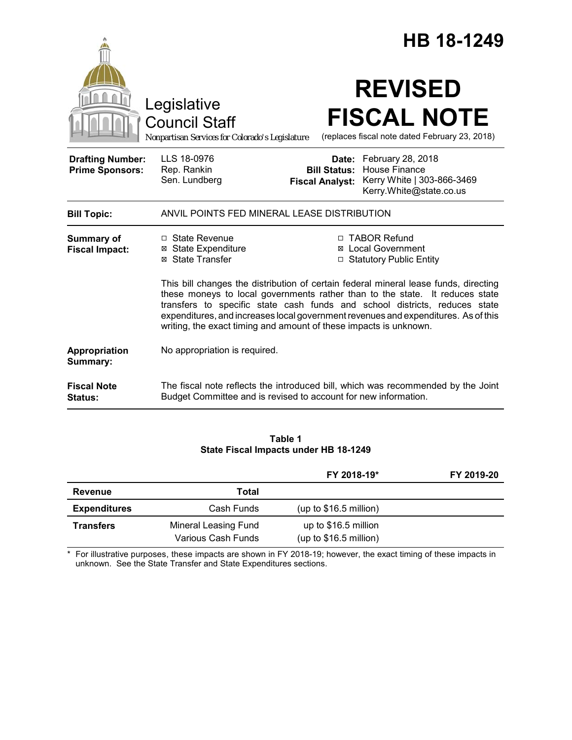|                                                   |                                                                                                                                                                                                                                                                                                                       |                                                        | HB 18-1249                                                                                         |
|---------------------------------------------------|-----------------------------------------------------------------------------------------------------------------------------------------------------------------------------------------------------------------------------------------------------------------------------------------------------------------------|--------------------------------------------------------|----------------------------------------------------------------------------------------------------|
|                                                   | Legislative<br><b>Council Staff</b><br>Nonpartisan Services for Colorado's Legislature                                                                                                                                                                                                                                |                                                        | <b>REVISED</b><br><b>FISCAL NOTE</b><br>(replaces fiscal note dated February 23, 2018)             |
| <b>Drafting Number:</b><br><b>Prime Sponsors:</b> | LLS 18-0976<br>Rep. Rankin<br>Sen. Lundberg                                                                                                                                                                                                                                                                           | Date:<br><b>Bill Status:</b><br><b>Fiscal Analyst:</b> | February 28, 2018<br><b>House Finance</b><br>Kerry White   303-866-3469<br>Kerry.White@state.co.us |
| <b>Bill Topic:</b>                                | ANVIL POINTS FED MINERAL LEASE DISTRIBUTION                                                                                                                                                                                                                                                                           |                                                        |                                                                                                    |
| <b>Summary of</b><br><b>Fiscal Impact:</b>        | □ State Revenue<br>⊠ State Expenditure<br>⊠ State Transfer<br>This bill changes the distribution of certain federal mineral lease funds, directing                                                                                                                                                                    |                                                        | □ TABOR Refund<br><b>⊠</b> Local Government<br>□ Statutory Public Entity                           |
|                                                   | these moneys to local governments rather than to the state. It reduces state<br>transfers to specific state cash funds and school districts, reduces state<br>expenditures, and increases local government revenues and expenditures. As of this<br>writing, the exact timing and amount of these impacts is unknown. |                                                        |                                                                                                    |
| Appropriation<br>Summary:                         | No appropriation is required.                                                                                                                                                                                                                                                                                         |                                                        |                                                                                                    |
| <b>Fiscal Note</b><br>Status:                     | The fiscal note reflects the introduced bill, which was recommended by the Joint<br>Budget Committee and is revised to account for new information.                                                                                                                                                                   |                                                        |                                                                                                    |

### **Table 1 State Fiscal Impacts under HB 18-1249**

|                     |                                            | FY 2018-19*                                     | FY 2019-20 |
|---------------------|--------------------------------------------|-------------------------------------------------|------------|
| Revenue             | Total                                      |                                                 |            |
| <b>Expenditures</b> | Cash Funds                                 | (up to $$16.5$ million)                         |            |
| <b>Transfers</b>    | Mineral Leasing Fund<br>Various Cash Funds | up to \$16.5 million<br>(up to $$16.5$ million) |            |

\* For illustrative purposes, these impacts are shown in FY 2018-19; however, the exact timing of these impacts in unknown. See the State Transfer and State Expenditures sections.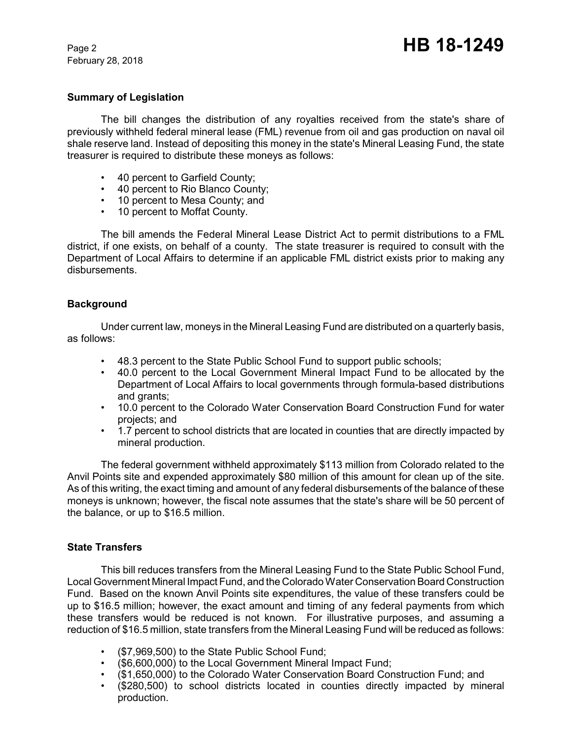February 28, 2018

### **Summary of Legislation**

The bill changes the distribution of any royalties received from the state's share of previously withheld federal mineral lease (FML) revenue from oil and gas production on naval oil shale reserve land. Instead of depositing this money in the state's Mineral Leasing Fund, the state treasurer is required to distribute these moneys as follows:

- 40 percent to Garfield County;
- 40 percent to Rio Blanco County;
- 10 percent to Mesa County; and
- 10 percent to Moffat County.

The bill amends the Federal Mineral Lease District Act to permit distributions to a FML district, if one exists, on behalf of a county. The state treasurer is required to consult with the Department of Local Affairs to determine if an applicable FML district exists prior to making any disbursements.

## **Background**

Under current law, moneys in the Mineral Leasing Fund are distributed on a quarterly basis, as follows:

- 48.3 percent to the State Public School Fund to support public schools;
- 40.0 percent to the Local Government Mineral Impact Fund to be allocated by the Department of Local Affairs to local governments through formula-based distributions and grants;
- 10.0 percent to the Colorado Water Conservation Board Construction Fund for water projects; and
- 1.7 percent to school districts that are located in counties that are directly impacted by mineral production.

The federal government withheld approximately \$113 million from Colorado related to the Anvil Points site and expended approximately \$80 million of this amount for clean up of the site. As of this writing, the exact timing and amount of any federal disbursements of the balance of these moneys is unknown; however, the fiscal note assumes that the state's share will be 50 percent of the balance, or up to \$16.5 million.

### **State Transfers**

This bill reduces transfers from the Mineral Leasing Fund to the State Public School Fund, Local Government Mineral Impact Fund, and the Colorado Water Conservation Board Construction Fund. Based on the known Anvil Points site expenditures, the value of these transfers could be up to \$16.5 million; however, the exact amount and timing of any federal payments from which these transfers would be reduced is not known. For illustrative purposes, and assuming a reduction of \$16.5 million, state transfers from the Mineral Leasing Fund will be reduced as follows:

- (\$7,969,500) to the State Public School Fund;
- (\$6,600,000) to the Local Government Mineral Impact Fund;
- (\$1,650,000) to the Colorado Water Conservation Board Construction Fund; and
- (\$280,500) to school districts located in counties directly impacted by mineral production.